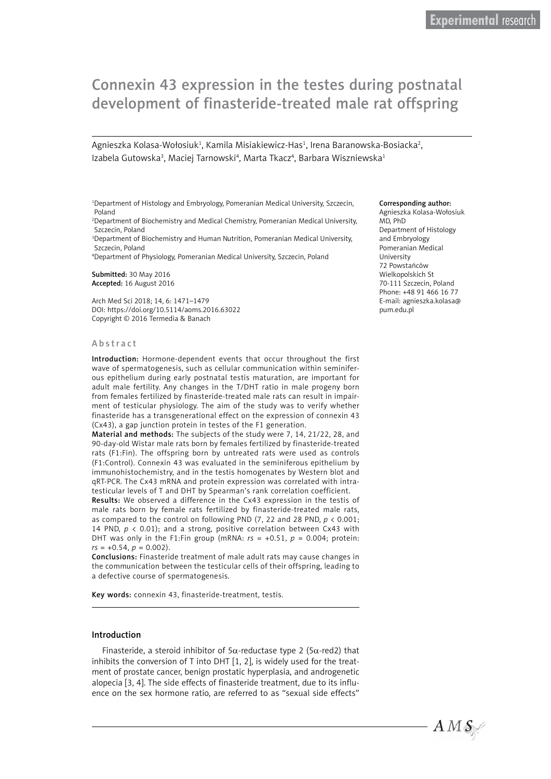# Connexin 43 expression in the testes during postnatal development of finasteride-treated male rat offspring

Agnieszka Kolasa-Wołosiuk<sup>1</sup>, Kamila Misiakiewicz-Has<sup>1</sup>, Irena Baranowska-Bosiacka<sup>2</sup>, Izabela Gutowska<sup>3</sup>, Maciej Tarnowski<sup>4</sup>, Marta Tkacz<sup>4</sup>, Barbara Wiszniewska<sup>1</sup>

1 Department of Histology and Embryology, Pomeranian Medical University, Szczecin, Poland

2 Department of Biochemistry and Medical Chemistry, Pomeranian Medical University, Szczecin, Poland

3 Department of Biochemistry and Human Nutrition, Pomeranian Medical University, Szczecin, Poland

4 Department of Physiology, Pomeranian Medical University, Szczecin, Poland

Submitted: 30 May 2016 Accepted: 16 August 2016

Arch Med Sci 2018; 14, 6: 1471–1479 DOI: https://doi.org/10.5114/aoms.2016.63022 Copyright © 2016 Termedia & Banach

#### Abstract

Introduction: Hormone-dependent events that occur throughout the first wave of spermatogenesis, such as cellular communication within seminiferous epithelium during early postnatal testis maturation, are important for adult male fertility. Any changes in the T/DHT ratio in male progeny born from females fertilized by finasteride-treated male rats can result in impairment of testicular physiology. The aim of the study was to verify whether finasteride has a transgenerational effect on the expression of connexin 43 (Cx43), a gap junction protein in testes of the F1 generation.

Material and methods: The subjects of the study were 7, 14, 21/22, 28, and 90-day-old Wistar male rats born by females fertilized by finasteride-treated rats (F1:Fin). The offspring born by untreated rats were used as controls (F1:Control). Connexin 43 was evaluated in the seminiferous epithelium by immunohistochemistry, and in the testis homogenates by Western blot and qRT-PCR. The Cx43 mRNA and protein expression was correlated with intratesticular levels of T and DHT by Spearman's rank correlation coefficient.

Results: We observed a difference in the Cx43 expression in the testis of male rats born by female rats fertilized by finasteride-treated male rats, as compared to the control on following PND (7, 22 and 28 PND, *p* < 0.001; 14 PND, *p* < 0.01); and a strong, positive correlation between Cx43 with DHT was only in the F1:Fin group (mRNA:  $rs = +0.51$ ,  $p = 0.004$ ; protein:  $rs = +0.54, p = 0.002$ .

Conclusions: Finasteride treatment of male adult rats may cause changes in the communication between the testicular cells of their offspring, leading to a defective course of spermatogenesis.

Key words: connexin 43, finasteride-treatment, testis.

# Introduction

Finasteride, a steroid inhibitor of 5 $\alpha$ -reductase type 2 (5 $\alpha$ -red2) that inhibits the conversion of T into DHT [1, 2], is widely used for the treatment of prostate cancer, benign prostatic hyperplasia, and androgenetic alopecia [3, 4]. The side effects of finasteride treatment, due to its influence on the sex hormone ratio, are referred to as "sexual side effects"

#### Corresponding author:

Agnieszka Kolasa-Wołosiuk MD, PhD Department of Histology and Embryology Pomeranian Medical University 72 Powstańców Wielkopolskich St 70-111 Szczecin, Poland Phone: +48 91 466 16 77 E-mail: [agnieszka.kolasa@](mailto:agnieszka.kolasa@pum.edu.pl) [pum.edu.pl](mailto:agnieszka.kolasa@pum.edu.pl)

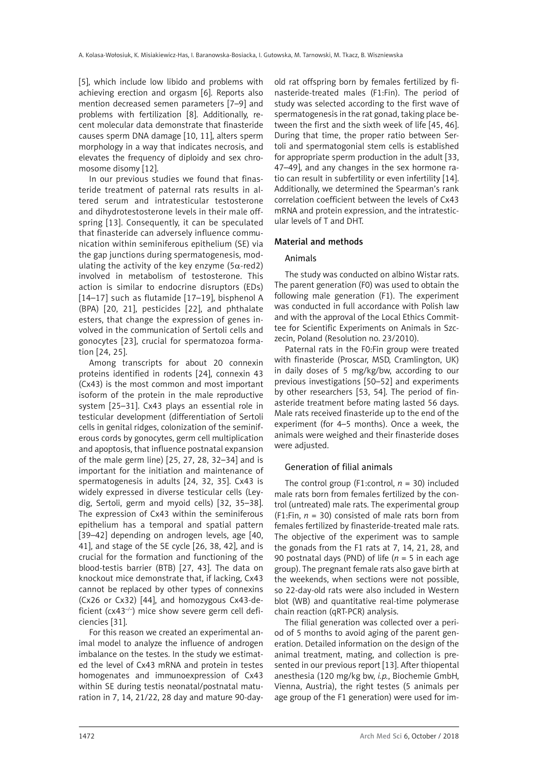[5], which include low libido and problems with achieving erection and orgasm [6]. Reports also mention decreased semen parameters [7–9] and problems with fertilization [8]. Additionally, recent molecular data demonstrate that finasteride causes sperm DNA damage [10, 11], alters sperm morphology in a way that indicates necrosis, and elevates the frequency of diploidy and sex chromosome disomy [12].

In our previous studies we found that finasteride treatment of paternal rats results in altered serum and intratesticular testosterone and dihydrotestosterone levels in their male offspring [13]. Consequently, it can be speculated that finasteride can adversely influence communication within seminiferous epithelium (SE) via the gap junctions during spermatogenesis, modulating the activity of the key enzyme ( $5\alpha$ -red2) involved in metabolism of testosterone. This action is similar to endocrine disruptors (EDs) [14–17] such as flutamide [17–19], bisphenol A (BPA) [20, 21], pesticides [22], and phthalate esters, that change the expression of genes involved in the communication of Sertoli cells and gonocytes [23], crucial for spermatozoa formation [24, 25].

Among transcripts for about 20 connexin proteins identified in rodents [24], connexin 43 (Cx43) is the most common and most important isoform of the protein in the male reproductive system [25–31]. Cx43 plays an essential role in testicular development (differentiation of Sertoli cells in genital ridges, colonization of the seminiferous cords by gonocytes, germ cell multiplication and apoptosis, that influence postnatal expansion of the male germ line) [25, 27, 28, 32–34] and is important for the initiation and maintenance of spermatogenesis in adults [24, 32, 35]. Cx43 is widely expressed in diverse testicular cells (Leydig, Sertoli, germ and myoid cells) [32, 35–38]. The expression of Cx43 within the seminiferous epithelium has a temporal and spatial pattern [39–42] depending on androgen levels, age [40, 41], and stage of the SE cycle [26, 38, 42], and is crucial for the formation and functioning of the blood-testis barrier (BTB) [27, 43]. The data on knockout mice demonstrate that, if lacking, Cx43 cannot be replaced by other types of connexins (Cx26 or Cx32) [44], and homozygous Cx43-deficient ( $cx43^{-/-}$ ) mice show severe germ cell deficiencies [31].

For this reason we created an experimental animal model to analyze the influence of androgen imbalance on the testes. In the study we estimated the level of Cx43 mRNA and protein in testes homogenates and immunoexpression of Cx43 within SE during testis neonatal/postnatal maturation in 7, 14, 21/22, 28 day and mature 90-dayold rat offspring born by females fertilized by finasteride-treated males (F1:Fin). The period of study was selected according to the first wave of spermatogenesis in the rat gonad, taking place between the first and the sixth week of life [45, 46]. During that time, the proper ratio between Sertoli and spermatogonial stem cells is established for appropriate sperm production in the adult [33, 47–49], and any changes in the sex hormone ratio can result in subfertility or even infertility [14]. Additionally, we determined the Spearman's rank correlation coefficient between the levels of Cx43 mRNA and protein expression, and the intratesticular levels of T and DHT.

# Material and methods

# Animals

The study was conducted on albino Wistar rats. The parent generation (F0) was used to obtain the following male generation (F1). The experiment was conducted in full accordance with Polish law and with the approval of the Local Ethics Committee for Scientific Experiments on Animals in Szczecin, Poland (Resolution no. 23/2010).

Paternal rats in the F0:Fin group were treated with finasteride (Proscar, MSD, Cramlington, UK) in daily doses of 5 mg/kg/bw, according to our previous investigations [50–52] and experiments by other researchers [53, 54]. The period of finasteride treatment before mating lasted 56 days. Male rats received finasteride up to the end of the experiment (for 4–5 months). Once a week, the animals were weighed and their finasteride doses were adjusted.

# Generation of filial animals

The control group (F1:control,  $n = 30$ ) included male rats born from females fertilized by the control (untreated) male rats. The experimental group (F1:Fin,  $n = 30$ ) consisted of male rats born from females fertilized by finasteride-treated male rats. The objective of the experiment was to sample the gonads from the F1 rats at 7, 14, 21, 28, and 90 postnatal days (PND) of life (*n* = 5 in each age group). The pregnant female rats also gave birth at the weekends, when sections were not possible, so 22-day-old rats were also included in Western blot (WB) and quantitative real-time polymerase chain reaction (qRT-PCR) analysis.

The filial generation was collected over a period of 5 months to avoid aging of the parent generation. Detailed information on the design of the animal treatment, mating, and collection is presented in our previous report [13]. After thiopental anesthesia (120 mg/kg bw, *i.p.*, Biochemie GmbH, Vienna, Austria), the right testes (5 animals per age group of the F1 generation) were used for im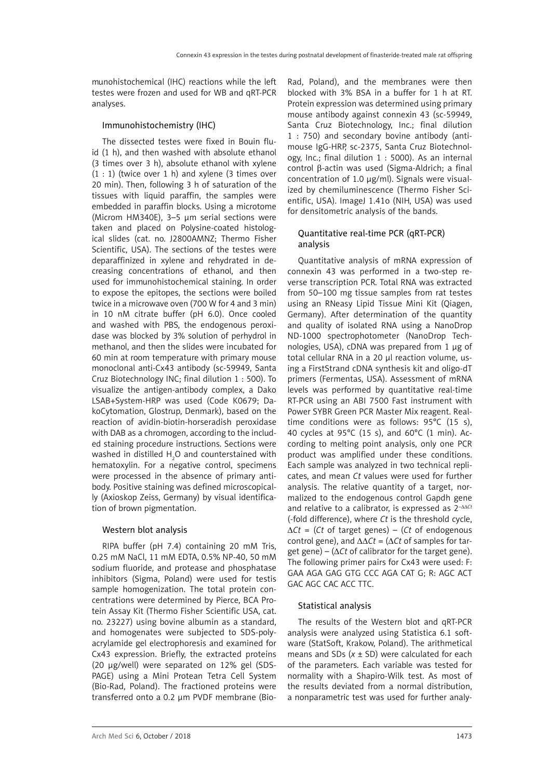munohistochemical (IHC) reactions while the left testes were frozen and used for WB and qRT-PCR analyses.

## Immunohistochemistry (IHC)

The dissected testes were fixed in Bouin fluid (1 h), and then washed with absolute ethanol (3 times over 3 h), absolute ethanol with xylene  $(1:1)$  (twice over 1 h) and xylene (3 times over 20 min). Then, following 3 h of saturation of the tissues with liquid paraffin, the samples were embedded in paraffin blocks. Using a microtome (Microm HM340E), 3–5 µm serial sections were taken and placed on Polysine-coated histological slides (cat. no. J2800AMNZ; Thermo Fisher Scientific, USA). The sections of the testes were deparaffinized in xylene and rehydrated in decreasing concentrations of ethanol, and then used for immunohistochemical staining. In order to expose the epitopes, the sections were boiled twice in a microwave oven (700 W for 4 and 3 min) in 10 nM citrate buffer (pH 6.0). Once cooled and washed with PBS, the endogenous peroxidase was blocked by 3% solution of perhydrol in methanol, and then the slides were incubated for 60 min at room temperature with primary mouse monoclonal anti-Cx43 antibody (sc-59949, Santa Cruz Biotechnology INC; final dilution 1 : 500). To visualize the antigen-antibody complex, a Dako LSAB+System-HRP was used (Code K0679; DakoCytomation, Glostrup, Denmark), based on the reaction of avidin-biotin-horseradish peroxidase with DAB as a chromogen, according to the included staining procedure instructions. Sections were washed in distilled  $\text{H}_{\text{2}}\text{O}$  and counterstained with hematoxylin. For a negative control, specimens were processed in the absence of primary antibody. Positive staining was defined microscopically (Axioskop Zeiss, Germany) by visual identification of brown pigmentation.

# Western blot analysis

RIPA buffer (pH 7.4) containing 20 mM Tris, 0.25 mM NaCl, 11 mM EDTA, 0.5% NP-40, 50 mM sodium fluoride, and protease and phosphatase inhibitors (Sigma, Poland) were used for testis sample homogenization. The total protein concentrations were determined by Pierce, BCA Protein Assay Kit (Thermo Fisher Scientific USA, cat. no. 23227) using bovine albumin as a standard, and homogenates were subjected to SDS-polyacrylamide gel electrophoresis and examined for Cx43 expression. Briefly, the extracted proteins (20 µg/well) were separated on 12% gel (SDS-PAGE) using a Mini Protean Tetra Cell System (Bio-Rad, Poland). The fractioned proteins were transferred onto a 0.2 µm PVDF membrane (Bio-

Rad, Poland), and the membranes were then blocked with 3% BSA in a buffer for 1 h at RT. Protein expression was determined using primary mouse antibody against connexin 43 (sc-59949, Santa Cruz Biotechnology, Inc.; final dilution 1 : 750) and secondary bovine antibody (antimouse IgG-HRP, sc-2375, Santa Cruz Biotechnology, Inc.; final dilution 1 : 5000). As an internal control β-actin was used (Sigma-Aldrich; a final concentration of 1.0 µg/ml). Signals were visualized by chemiluminescence (Thermo Fisher Scientific, USA). ImageJ 1.41o (NIH, USA) was used for densitometric analysis of the bands.

# Quantitative real-time PCR (qRT-PCR) analysis

Quantitative analysis of mRNA expression of connexin 43 was performed in a two-step reverse transcription PCR. Total RNA was extracted from 50–100 mg tissue samples from rat testes using an RNeasy Lipid Tissue Mini Kit (Qiagen, Germany). After determination of the quantity and quality of isolated RNA using a NanoDrop ND-1000 spectrophotometer (NanoDrop Technologies, USA), cDNA was prepared from 1 µg of total cellular RNA in a 20 µl reaction volume, using a FirstStrand cDNA synthesis kit and oligo-dT primers (Fermentas, USA). Assessment of mRNA levels was performed by quantitative real-time RT-PCR using an ABI 7500 Fast instrument with Power SYBR Green PCR Master Mix reagent. Realtime conditions were as follows: 95°C (15 s), 40 cycles at 95°C (15 s), and 60°C (1 min). According to melting point analysis, only one PCR product was amplified under these conditions. Each sample was analyzed in two technical replicates, and mean *Ct* values were used for further analysis. The relative quantity of a target, normalized to the endogenous control Gapdh gene and relative to a calibrator, is expressed as 2–∆∆*Ct* (-fold difference), where *Ct* is the threshold cycle, ∆*Ct* = (*Ct* of target genes) – (*Ct* of endogenous control gene), and ∆∆*Ct* = (∆*Ct* of samples for target gene) – ( $\Delta Ct$  of calibrator for the target gene). The following primer pairs for Cx43 were used: F: GAA AGA GAG GTG CCC AGA CAT G; R: AGC ACT GAC AGC CAC ACC TTC.

# Statistical analysis

The results of the Western blot and qRT-PCR analysis were analyzed using Statistica 6.1 software (StatSoft, Krakow, Poland). The arithmetical means and SDs (*x* ± SD) were calculated for each of the parameters. Each variable was tested for normality with a Shapiro-Wilk test. As most of the results deviated from a normal distribution, a nonparametric test was used for further analy-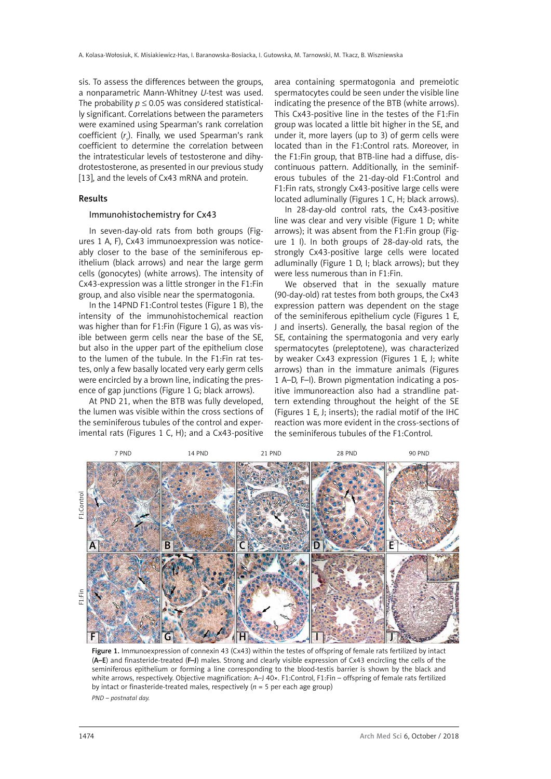sis. To assess the differences between the groups, a nonparametric Mann-Whitney *U*-test was used. The probability  $p \le 0.05$  was considered statistically significant. Correlations between the parameters were examined using Spearman's rank correlation coefficient (*r s* ). Finally, we used Spearman's rank coefficient to determine the correlation between the intratesticular levels of testosterone and dihydrotestosterone, as presented in our previous study [13], and the levels of Cx43 mRNA and protein.

## Results

#### Immunohistochemistry for Cx43

In seven-day-old rats from both groups (Figures 1 A, F), Cx43 immunoexpression was noticeably closer to the base of the seminiferous epithelium (black arrows) and near the large germ cells (gonocytes) (white arrows). The intensity of Cx43-expression was a little stronger in the F1:Fin group, and also visible near the spermatogonia.

In the 14PND F1:Control testes (Figure 1 B), the intensity of the immunohistochemical reaction was higher than for F1:Fin (Figure 1 G), as was visible between germ cells near the base of the SE, but also in the upper part of the epithelium close to the lumen of the tubule. In the F1:Fin rat testes, only a few basally located very early germ cells were encircled by a brown line, indicating the presence of gap junctions (Figure 1 G; black arrows).

At PND 21, when the BTB was fully developed, the lumen was visible within the cross sections of the seminiferous tubules of the control and experimental rats (Figures 1 C, H); and a Cx43-positive

area containing spermatogonia and premeiotic spermatocytes could be seen under the visible line indicating the presence of the BTB (white arrows). This Cx43-positive line in the testes of the F1:Fin group was located a little bit higher in the SE, and under it, more layers (up to 3) of germ cells were located than in the F1:Control rats. Moreover, in the F1:Fin group, that BTB-line had a diffuse, discontinuous pattern. Additionally, in the seminiferous tubules of the 21-day-old F1:Control and F1:Fin rats, strongly Cx43-positive large cells were located adluminally (Figures 1 C, H; black arrows).

In 28-day-old control rats, the Cx43-positive line was clear and very visible (Figure 1 D; white arrows); it was absent from the F1:Fin group (Figure 1 I). In both groups of 28-day-old rats, the strongly Cx43-positive large cells were located adluminally (Figure 1 D, I; black arrows); but they were less numerous than in F1:Fin.

We observed that in the sexually mature (90-day-old) rat testes from both groups, the Cx43 expression pattern was dependent on the stage of the seminiferous epithelium cycle (Figures 1 E, J and inserts). Generally, the basal region of the SE, containing the spermatogonia and very early spermatocytes (preleptotene), was characterized by weaker Cx43 expression (Figures 1 E, J; white arrows) than in the immature animals (Figures 1 A–D, F–I). Brown pigmentation indicating a positive immunoreaction also had a strandline pattern extending throughout the height of the SE (Figures 1 E, J; inserts); the radial motif of the IHC reaction was more evident in the cross-sections of the seminiferous tubules of the F1:Control.



Figure 1. Immunoexpression of connexin 43 (Cx43) within the testes of offspring of female rats fertilized by intact (A–E) and finasteride-treated (F–J) males. Strong and clearly visible expression of Cx43 encircling the cells of the seminiferous epithelium or forming a line corresponding to the blood-testis barrier is shown by the black and white arrows, respectively. Objective magnification: A–J 40×. F1:Control, F1:Fin – offspring of female rats fertilized by intact or finasteride-treated males, respectively  $(n = 5$  per each age group) *PND – postnatal day.*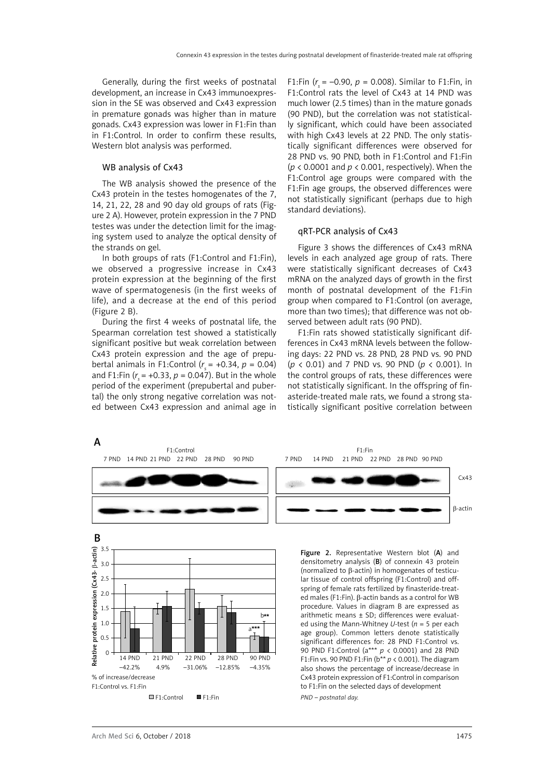Generally, during the first weeks of postnatal development, an increase in Cx43 immunoexpression in the SE was observed and Cx43 expression in premature gonads was higher than in mature gonads. Cx43 expression was lower in F1:Fin than in F1:Control. In order to confirm these results, Western blot analysis was performed.

# WB analysis of Cx43

The WB analysis showed the presence of the Cx43 protein in the testes homogenates of the 7, 14, 21, 22, 28 and 90 day old groups of rats (Figure 2 A). However, protein expression in the 7 PND testes was under the detection limit for the imaging system used to analyze the optical density of the strands on gel.

In both groups of rats (F1:Control and F1:Fin), we observed a progressive increase in Cx43 protein expression at the beginning of the first wave of spermatogenesis (in the first weeks of life), and a decrease at the end of this period (Figure 2 B).

During the first 4 weeks of postnatal life, the Spearman correlation test showed a statistically significant positive but weak correlation between Cx43 protein expression and the age of prepubertal animals in F1:Control  $(r<sub>s</sub> = +0.34, p = 0.04)$ and F1:Fin (*r <sup>s</sup>*= +0.33, *p* = 0.047). But in the whole period of the experiment (prepubertal and pubertal) the only strong negative correlation was noted between Cx43 expression and animal age in

F1:Fin  $(r = -0.90, p = 0.008)$ . Similar to F1:Fin, in F1:Control rats the level of Cx43 at 14 PND was much lower (2.5 times) than in the mature gonads (90 PND), but the correlation was not statistically significant, which could have been associated with high Cx43 levels at 22 PND. The only statistically significant differences were observed for 28 PND vs. 90 PND, both in F1:Control and F1:Fin (*p* < 0.0001 and *p* < 0.001, respectively). When the F1:Control age groups were compared with the F1:Fin age groups, the observed differences were not statistically significant (perhaps due to high standard deviations).

### qRT-PCR analysis of Cx43

Figure 3 shows the differences of Cx43 mRNA levels in each analyzed age group of rats. There were statistically significant decreases of Cx43 mRNA on the analyzed days of growth in the first month of postnatal development of the F1:Fin group when compared to F1:Control (on average, more than two times); that difference was not observed between adult rats (90 PND).

F1:Fin rats showed statistically significant differences in Cx43 mRNA levels between the following days: 22 PND vs. 28 PND, 28 PND vs. 90 PND (*p* < 0.01) and 7 PND vs. 90 PND (*p* < 0.001). In the control groups of rats, these differences were not statistically significant. In the offspring of finasteride-treated male rats, we found a strong statistically significant positive correlation between

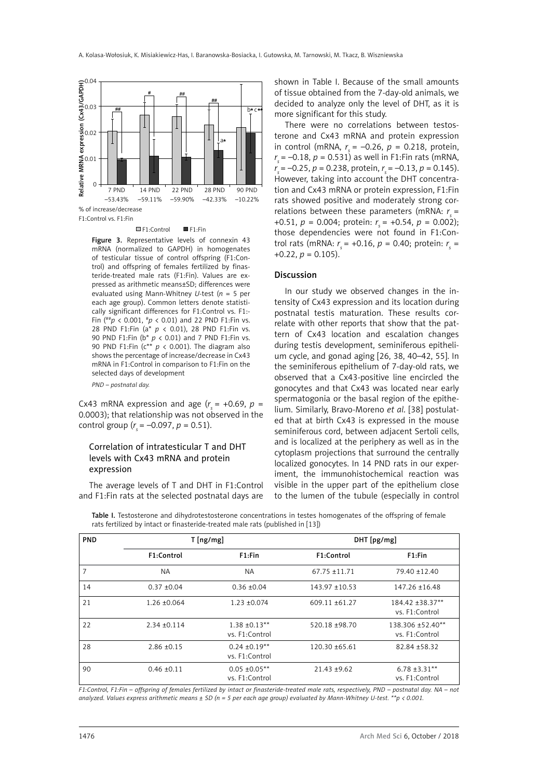

#### ■F1:Control ■F1:Fin

Figure 3. Representative levels of connexin 43 mRNA (normalized to GAPDH) in homogenates of testicular tissue of control offspring (F1:Control) and offspring of females fertilized by finasteride-treated male rats (F1:Fin). Values are expressed as arithmetic means±SD; differences were evaluated using Mann-Whitney *U*-test (*n* = 5 per each age group). Common letters denote statistically significant differences for F1:Control vs. F1:- Fin (##*p* < 0.001, #*p* < 0.01) and 22 PND F1:Fin vs. 28 PND F1:Fin (a\* *p* < 0.01), 28 PND F1:Fin vs. 90 PND F1:Fin (b\* *p* < 0.01) and 7 PND F1:Fin vs. 90 PND F1:Fin (c\*\* *p* < 0.001). The diagram also shows the percentage of increase/decrease in Cx43 mRNA in F1:Control in comparison to F1:Fin on the selected days of development

*PND – postnatal day.* 

Cx43 mRNA expression and age  $(r<sub>s</sub> = +0.69, p =$ 0.0003); that relationship was not observed in the control group ( $r_s = -0.097$ ,  $p = 0.51$ ).

# Correlation of intratesticular T and DHT levels with Cx43 mRNA and protein expression

The average levels of T and DHT in F1:Control and F1:Fin rats at the selected postnatal days are shown in Table I. Because of the small amounts of tissue obtained from the 7-day-old animals, we decided to analyze only the level of DHT, as it is more significant for this study.

There were no correlations between testosterone and Cx43 mRNA and protein expression in control (mRNA,  $r_s = -0.26$ ,  $p = 0.218$ , protein, *r <sup>s</sup>*= –0.18, *p* = 0.531) as well in F1:Fin rats (mRNA, *r <sup>s</sup>*= –0.25, *p* = 0.238, protein, *r <sup>s</sup>*= –0.13, *p* = 0.145). However, taking into account the DHT concentration and Cx43 mRNA or protein expression, F1:Fin rats showed positive and moderately strong correlations between these parameters (mRNA:  $r<sub>s</sub>$  = +0.51,  $p = 0.004$ ; protein:  $r = +0.54$ ,  $p = 0.002$ ); those dependencies were not found in F1:Control rats (mRNA: *r <sup>s</sup>*= +0.16, *p* = 0.40; protein: *r <sup>s</sup>* =  $+0.22, p = 0.105$ ).

#### Discussion

In our study we observed changes in the intensity of Cx43 expression and its location during postnatal testis maturation. These results correlate with other reports that show that the pattern of Cx43 location and escalation changes during testis development, seminiferous epithelium cycle, and gonad aging [26, 38, 40–42, 55]. In the seminiferous epithelium of 7-day-old rats, we observed that a Cx43-positive line encircled the gonocytes and that Cx43 was located near early spermatogonia or the basal region of the epithelium. Similarly, Bravo-Moreno *et al*. [38] postulated that at birth Cx43 is expressed in the mouse seminiferous cord, between adjacent Sertoli cells, and is localized at the periphery as well as in the cytoplasm projections that surround the centrally localized gonocytes. In 14 PND rats in our experiment, the immunohistochemical reaction was visible in the upper part of the epithelium close to the lumen of the tubule (especially in control

PND T [ng/mg] T [ng/mg] F1:Control F1:Fin F1:Control F1:Fin 7 NA NA 67.75 ±11.71 79.40 ±12.40 14 0.37 ±0.04 0.36 ±0.04 143.97 ±10.53 147.26 ±16.48 21 1.26 ±0.064 1.23 ±0.074 609.11 ±61.27 184.42 ±38.37\*\* vs. F1:Control 22 2.34 ±0.114 1.38 ±0.13\*\* vs. F1:Control 520.18 ±98.70 138.306 ±52.40\*\* vs. F1:Control 28 2.86 ± 0.15 0.24 ± 0.19<sup>\*\*</sup> vs. F1:Control 120.30 ±65.61 82.84 ±58.32 90 0.46 ±0.11 0.05 ±0.05\*\* vs. F1:Control 21.43 ±9.62 6.78 ±3.31\*\* vs. F1:Control

Table I. Testosterone and dihydrotestosterone concentrations in testes homogenates of the offspring of female rats fertilized by intact or finasteride-treated male rats (published in [13])

*F1:Control, F1:Fin – offspring of females fertilized by intact or finasteride-treated male rats, respectively, PND – postnatal day. NA – not analyzed. Values express arithmetic means ± SD (n = 5 per each age group) evaluated by Mann-Whitney U-test. \*\*p < 0.001.*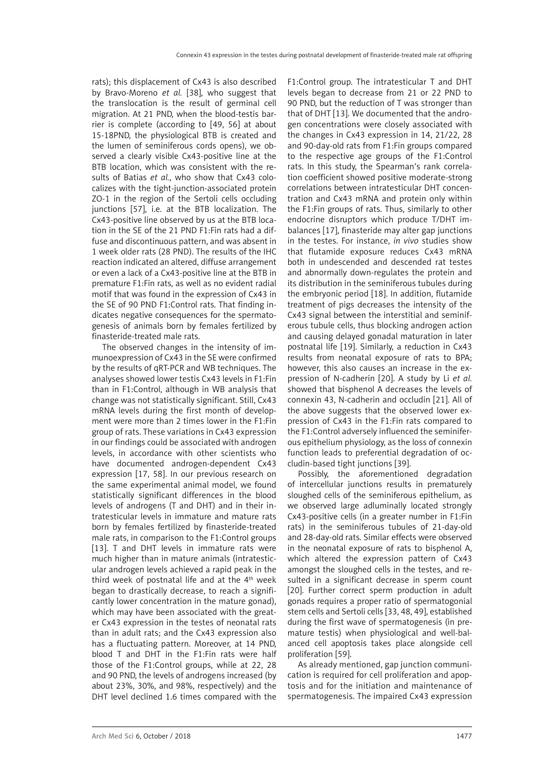rats); this displacement of Cx43 is also described by Bravo-Moreno *et al.* [38], who suggest that the translocation is the result of germinal cell migration. At 21 PND, when the blood-testis barrier is complete (according to [49, 56] at about 15-18PND, the physiological BTB is created and the lumen of seminiferous cords opens), we observed a clearly visible Cx43-positive line at the BTB location, which was consistent with the results of Batias *et al.*, who show that Cx43 colocalizes with the tight-junction-associated protein ZO-1 in the region of the Sertoli cells occluding junctions [57], i.e. at the BTB localization. The Cx43-positive line observed by us at the BTB location in the SE of the 21 PND F1:Fin rats had a diffuse and discontinuous pattern, and was absent in 1 week older rats (28 PND). The results of the IHC reaction indicated an altered, diffuse arrangement or even a lack of a Cx43-positive line at the BTB in premature F1:Fin rats, as well as no evident radial motif that was found in the expression of Cx43 in the SE of 90 PND F1:Control rats. That finding indicates negative consequences for the spermatogenesis of animals born by females fertilized by finasteride-treated male rats.

The observed changes in the intensity of immunoexpression of Cx43 in the SE were confirmed by the results of qRT-PCR and WB techniques. The analyses showed lower testis Cx43 levels in F1:Fin than in F1:Control, although in WB analysis that change was not statistically significant. Still, Cx43 mRNA levels during the first month of development were more than 2 times lower in the F1:Fin group of rats. These variations in Cx43 expression in our findings could be associated with androgen levels, in accordance with other scientists who have documented androgen-dependent Cx43 expression [17, 58]. In our previous research on the same experimental animal model, we found statistically significant differences in the blood levels of androgens (T and DHT) and in their intratesticular levels in immature and mature rats born by females fertilized by finasteride-treated male rats, in comparison to the F1:Control groups [13]. T and DHT levels in immature rats were much higher than in mature animals (intratesticular androgen levels achieved a rapid peak in the third week of postnatal life and at the 4<sup>th</sup> week began to drastically decrease, to reach a significantly lower concentration in the mature gonad), which may have been associated with the greater Cx43 expression in the testes of neonatal rats than in adult rats; and the Cx43 expression also has a fluctuating pattern. Moreover, at 14 PND, blood T and DHT in the F1:Fin rats were half those of the F1:Control groups, while at 22, 28 and 90 PND, the levels of androgens increased (by about 23%, 30%, and 98%, respectively) and the DHT level declined 1.6 times compared with the F1:Control group. The intratesticular T and DHT levels began to decrease from 21 or 22 PND to 90 PND, but the reduction of T was stronger than that of DHT [13]. We documented that the androgen concentrations were closely associated with the changes in Cx43 expression in 14, 21/22, 28 and 90-day-old rats from F1:Fin groups compared to the respective age groups of the F1:Control rats. In this study, the Spearman's rank correlation coefficient showed positive moderate-strong correlations between intratesticular DHT concentration and Cx43 mRNA and protein only within the F1:Fin groups of rats. Thus, similarly to other endocrine disruptors which produce T/DHT imbalances [17], finasteride may alter gap junctions in the testes. For instance, *in vivo* studies show that flutamide exposure reduces Cx43 mRNA both in undescended and descended rat testes and abnormally down-regulates the protein and its distribution in the seminiferous tubules during the embryonic period [18]. In addition, flutamide treatment of pigs decreases the intensity of the Cx43 signal between the interstitial and seminiferous tubule cells, thus blocking androgen action and causing delayed gonadal maturation in later postnatal life [19]. Similarly, a reduction in Cx43 results from neonatal exposure of rats to BPA; however, this also causes an increase in the expression of N-cadherin [20]. A study by Li *et al.* showed that bisphenol A decreases the levels of connexin 43, N-cadherin and occludin [21]. All of the above suggests that the observed lower expression of Cx43 in the F1:Fin rats compared to the F1:Control adversely influenced the seminiferous epithelium physiology, as the loss of connexin function leads to preferential degradation of occludin-based tight junctions [39].

Possibly, the aforementioned degradation of intercellular junctions results in prematurely sloughed cells of the seminiferous epithelium, as we observed large adluminally located strongly Cx43-positive cells (in a greater number in F1:Fin rats) in the seminiferous tubules of 21-day-old and 28-day-old rats. Similar effects were observed in the neonatal exposure of rats to bisphenol A, which altered the expression pattern of Cx43 amongst the sloughed cells in the testes, and resulted in a significant decrease in sperm count [20]. Further correct sperm production in adult gonads requires a proper ratio of spermatogonial stem cells and Sertoli cells [33, 48, 49], established during the first wave of spermatogenesis (in premature testis) when physiological and well-balanced cell apoptosis takes place alongside cell proliferation [59].

As already mentioned, gap junction communication is required for cell proliferation and apoptosis and for the initiation and maintenance of spermatogenesis. The impaired Cx43 expression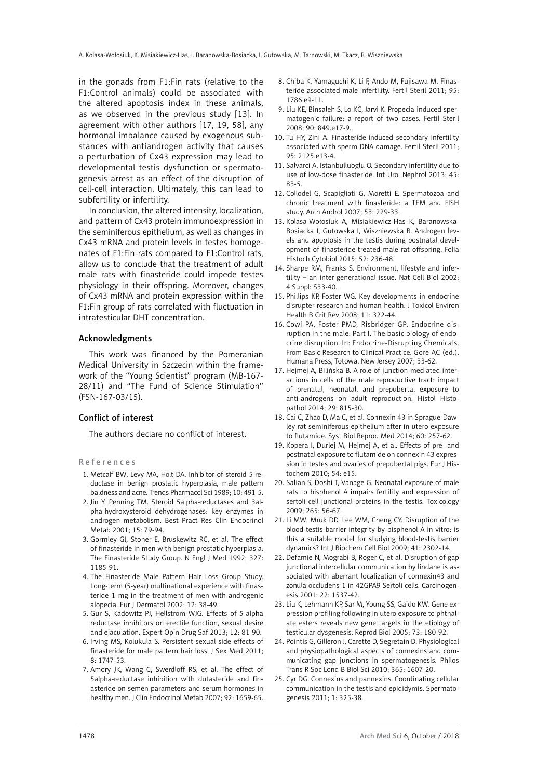in the gonads from F1:Fin rats (relative to the F1:Control animals) could be associated with the altered apoptosis index in these animals, as we observed in the previous study [13]. In agreement with other authors [17, 19, 58], any hormonal imbalance caused by exogenous substances with antiandrogen activity that causes a perturbation of Cx43 expression may lead to developmental testis dysfunction or spermatogenesis arrest as an effect of the disruption of cell-cell interaction. Ultimately, this can lead to subfertility or infertility.

In conclusion, the altered intensity, localization, and pattern of Cx43 protein immunoexpression in the seminiferous epithelium, as well as changes in Cx43 mRNA and protein levels in testes homogenates of F1:Fin rats compared to F1:Control rats, allow us to conclude that the treatment of adult male rats with finasteride could impede testes physiology in their offspring. Moreover, changes of Cx43 mRNA and protein expression within the F1:Fin group of rats correlated with fluctuation in intratesticular DHT concentration.

# Acknowledgments

This work was financed by the Pomeranian Medical University in Szczecin within the framework of the "Young Scientist" program (MB-167- 28/11) and "The Fund of Science Stimulation" (FSN-167-03/15).

#### Conflict of interest

The authors declare no conflict of interest.

#### References

- 1. Metcalf BW, Levy MA, Holt DA. Inhibitor of steroid 5-reductase in benign prostatic hyperplasia, male pattern baldness and acne. Trends Pharmacol Sci 1989; 10: 491-5.
- 2. [Jin](http://www.ncbi.nlm.nih.gov/pubmed/?term=Jin Y%5BAuthor%5D&cauthor=true&cauthor_uid=11469812) Y, [Penning](http://www.ncbi.nlm.nih.gov/pubmed/?term=Penning TM%5BAuthor%5D&cauthor=true&cauthor_uid=11469812) TM. Steroid 5alpha-reductases and 3alpha-hydroxysteroid dehydrogenases: key enzymes in androgen metabolism. Best Pract Res Clin Endocrinol Metab 2001; 15: 79-94.
- 3. [Gormley](http://www.ncbi.nlm.nih.gov/pubmed/?term=Gormley GJ%5BAuthor%5D&cauthor=true&cauthor_uid=1383816) GJ, Stoner E, Bruskewitz RC, et al. The effect of finasteride in men with benign prostatic hyperplasia. The Finasteride Study Group. N Engl J Med 1992; 327: 1185-91.
- 4. The Finasteride Male Pattern Hair Loss Group Study. Long-term (5-year) multinational experience with finasteride 1 mg in the treatment of men with androgenic alopecia. Eur J Dermatol 2002; 12: 38-49.
- 5. Gur S, Kadowitz PJ, Hellstrom WJG. Effects of 5-alpha reductase inhibitors on erectile function, sexual desire and ejaculation. Expert Opin Drug Saf 2013; 12: 81-90.
- 6. Irving MS, Kolukula S. Persistent sexual side effects of finasteride for male pattern hair loss. J Sex Med 2011; 8: 1747-53.
- 7. Amory JK, Wang C, Swerdloff RS, et al. The effect of 5alpha-reductase inhibition with dutasteride and finasteride on semen parameters and serum hormones in healthy men. J Clin Endocrinol Metab 2007; 92: 1659-65.
- 8. Chiba K, Yamaguchi K, Li F, Ando M, Fujisawa M. Finasteride-associated male infertility. Fertil Steril 2011; 95: 1786.e9-11.
- 9. Liu KE, Binsaleh S, Lo KC, Jarvi K. Propecia-induced spermatogenic failure: a report of two cases. Fertil Steril 2008; 90: 849.e17-9.
- 10. Tu HY, Zini A. Finasteride-induced secondary infertility associated with sperm DNA damage. Fertil Steril 2011; 95: 2125.e13-4.
- 11. Salvarci A, Istanbulluoglu O. Secondary infertility due to use of low-dose finasteride. Int Urol Nephrol 2013; 45: 83-5.
- 12. Collodel G, Scapigliati G, Moretti E. Spermatozoa and chronic treatment with finasteride: a TEM and FISH study. Arch Androl 2007; 53: 229-33.
- 13. Kolasa-Wołosiuk A, Misiakiewicz-Has K, Baranowska-Bosiacka I, Gutowska I, Wiszniewska B. Androgen levels and apoptosis in the testis during postnatal development of finasteride-treated male rat offspring. Folia Histoch Cytobiol 2015; 52: 236-48.
- 14. Sharpe RM, Franks S. Environment, lifestyle and infertility – an inter-generational issue. Nat Cell Biol 2002; 4 Suppl: S33-40.
- 15. Phillips KP, Foster WG. Key developments in endocrine disrupter research and human health. J Toxicol Environ Health B Crit Rev 2008; 11: 322-44.
- 16. Cowi PA, Foster PMD, Risbridger GP. Endocrine disruption in the male. Part I. The basic biology of endocrine disruption. In: Endocrine-Disrupting Chemicals. From Basic Research to Clinical Practice. Gore AC (ed.). Humana Press, Totowa, New Jersey 2007; 33-62.
- 17. Heimei A. Bilińska B. A role of junction-mediated interactions in cells of the male reproductive tract: impact of prenatal, neonatal, and prepubertal exposure to anti-androgens on adult reproduction. Histol Histopathol 2014; 29: 815-30.
- 18. Cai C, Zhao D, Ma C, et al. Connexin 43 in Sprague-Dawley rat seminiferous epithelium after in utero exposure to flutamide. Syst Biol Reprod Med 2014; 60: 257-62.
- 19. Kopera I, Durlej M, Hejmej A, et al. Effects of pre- and postnatal exposure to flutamide on connexin 43 expression in testes and ovaries of prepubertal pigs. Eur J Histochem 2010; 54: e15.
- 20. [Salian](http://www.ncbi.nlm.nih.gov/pubmed/?term=Salian S%5BAuthor%5D&cauthor=true&cauthor_uid=19782717) S, Doshi T, Vanage G. Neonatal exposure of male rats to bisphenol A impairs fertility and expression of sertoli cell junctional proteins in the testis. Toxicology 2009; 265: 56-67.
- 21. [Li](http://www.ncbi.nlm.nih.gov/pubmed/?term=Li MW%5BAuthor%5D&cauthor=true&cauthor_uid=19497385) MW, [Mruk](http://www.ncbi.nlm.nih.gov/pubmed/?term=Mruk DD%5BAuthor%5D&cauthor=true&cauthor_uid=19497385) DD, [Lee](http://www.ncbi.nlm.nih.gov/pubmed/?term=Lee WM%5BAuthor%5D&cauthor=true&cauthor_uid=19497385) WM, Cheng CY. Disruption of the blood-testis barrier integrity by bisphenol A in vitro: is this a suitable model for studying blood-testis barrier dynamics? Int J Biochem Cell Biol 2009; 41: 2302-14.
- 22. [Defamie](http://www.ncbi.nlm.nih.gov/pubmed/?term=Defamie N%5BAuthor%5D&cauthor=true&cauthor_uid=11532877) N, Mograbi B, Roger C, et al. Disruption of gap junctional intercellular communication by lindane is associated with aberrant localization of connexin43 and zonula occludens-1 in 42GPA9 Sertoli cells. Carcinogenesis 2001; 22: 1537-42.
- 23. [Liu](http://www.ncbi.nlm.nih.gov/pubmed/?term=Liu K%5BAuthor%5D&cauthor=true&cauthor_uid=15728792) K, Lehmann KP, Sar M, Young SS, Gaido KW. Gene expression profiling following in utero exposure to phthalate esters reveals new gene targets in the etiology of testicular dysgenesis. Reprod Biol 2005; 73: 180-92.
- 24. Pointis G, Gilleron J, Carette D, Segretain D. Physiological and physiopathological aspects of connexins and communicating gap junctions in spermatogenesis. Philos Trans R Soc Lond B Biol Sci 2010; 365: 1607-20.
- 25. Cyr DG. Connexins and pannexins. Coordinating cellular communication in the testis and epididymis. Spermatogenesis 2011; 1: 325-38.